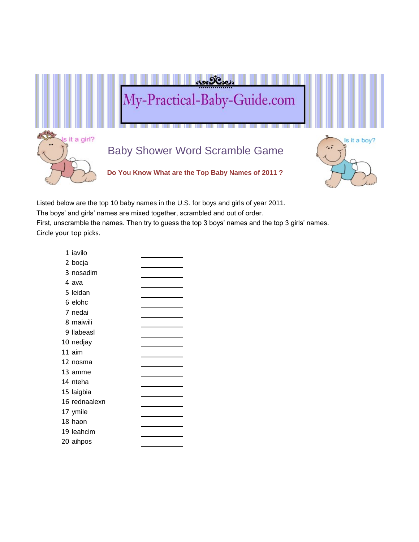

Listed below are the top 10 baby names in the U.S. for boys and girls of year 2011.

The boys' and girls' names are mixed together, scrambled and out of order.

First, unscramble the names. Then try to guess the top 3 boys' names and the top 3 girls' names. Circle your top picks.

| 1 iavilo      |  |
|---------------|--|
| 2 bocja       |  |
| 3 nosadim     |  |
| 4 ava         |  |
| 5 leidan      |  |
| 6 elohc       |  |
| 7 nedai       |  |
| 8 maiwili     |  |
| 9 Ilabeasl    |  |
| 10 nedjay     |  |
| 11 aim        |  |
| 12 nosma      |  |
| 13 amme       |  |
| 14 nteha      |  |
| 15 laigbia    |  |
| 16 rednaalexn |  |
| 17 ymile      |  |
| 18 haon       |  |
| 19 leahcim    |  |
| 20 aihpos     |  |